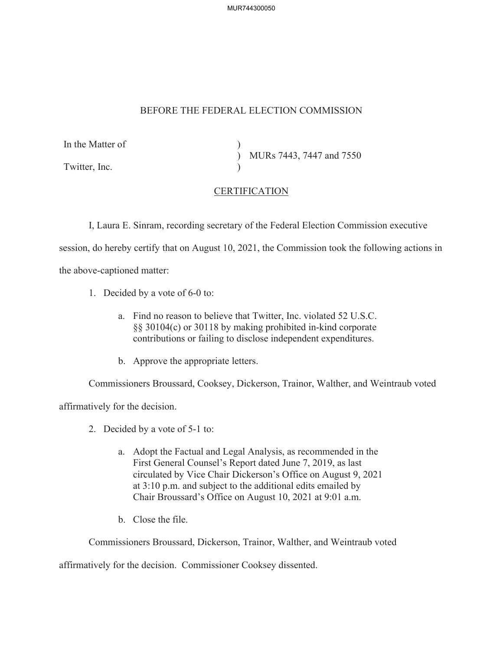MUR744300050

## BEFORE THE FEDERAL ELECTION COMMISSION

| In the Matter of |                          |
|------------------|--------------------------|
|                  | MURs 7443, 7447 and 7550 |
| Twitter, Inc.    |                          |

## **CERTIFICATION**

I, Laura E. Sinram, recording secretary of the Federal Election Commission executive session, do hereby certify that on August 10, 2021, the Commission took the following actions in the above-captioned matter:

- 1. Decided by a vote of 6-0 to:
	- a. Find no reason to believe that Twitter, Inc. violated 52 U.S.C. §§ 30104(c) or 30118 by making prohibited in-kind corporate contributions or failing to disclose independent expenditures.
	- b. Approve the appropriate letters.

Commissioners Broussard, Cooksey, Dickerson, Trainor, Walther, and Weintraub voted

affirmatively for the decision.

- 2. Decided by a vote of 5-1 to:
	- a. Adopt the Factual and Legal Analysis, as recommended in the First General Counsel's Report dated June 7, 2019, as last circulated by Vice Chair Dickerson's Office on August 9, 2021 at 3:10 p.m. and subject to the additional edits emailed by Chair Broussard's Office on August 10, 2021 at 9:01 a.m.
	- b. Close the file.

Commissioners Broussard, Dickerson, Trainor, Walther, and Weintraub voted

affirmatively for the decision. Commissioner Cooksey dissented.